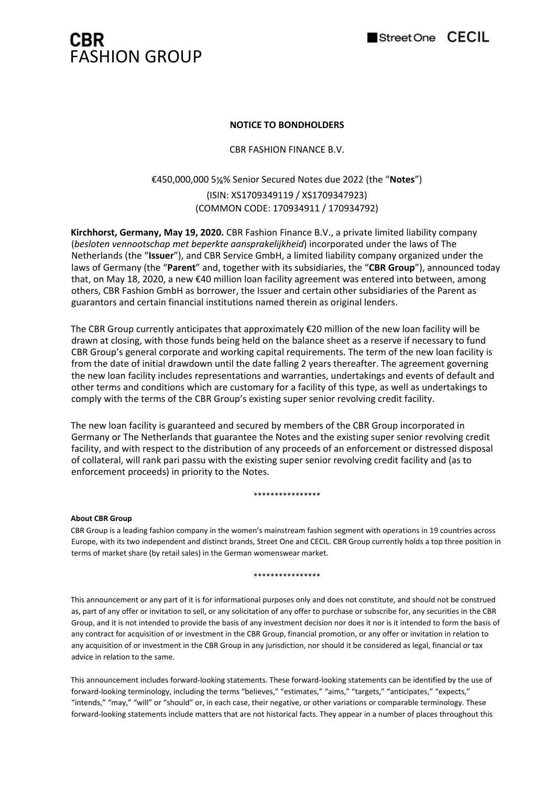

## FASHION GROUP

### **NOTICE TO BONDHOLDERS**

CBR FASHION FINANCE B.V.

### €450,000,000 5⅛% Senior Secured Notes due 2022 (the "**Notes**") (ISIN: XS1709349119 / XS1709347923) (COMMON CODE: 170934911 / 170934792)

**Kirchhorst, Germany, May 19, 2020.** CBR Fashion Finance B.V., a private limited liability company (*besloten vennootschap met beperkte aansprakelijkheid*) incorporated under the laws of The Netherlands (the "**Issuer**"), and CBR Service GmbH, a limited liability company organized under the laws of Germany (the "**Parent**" and, together with its subsidiaries, the "**CBR Group**"), announced today that, on May 18, 2020, a new €40 million loan facility agreement was entered into between, among others, CBR Fashion GmbH as borrower, the Issuer and certain other subsidiaries of the Parent as guarantors and certain financial institutions named therein as original lenders.

The CBR Group currently anticipates that approximately  $\epsilon$ 20 million of the new loan facility will be drawn at closing, with those funds being held on the balance sheet as a reserve if necessary to fund CBR Group's general corporate and working capital requirements. The term of the new loan facility is from the date of initial drawdown until the date falling 2 years thereafter. The agreement governing the new loan facility includes representations and warranties, undertakings and events of default and other terms and conditions which are customary for a facility of this type, as well as undertakings to comply with the terms of the CBR Group's existing super senior revolving credit facility.

The new loan facility is guaranteed and secured by members of the CBR Group incorporated in Germany or The Netherlands that guarantee the Notes and the existing super senior revolving credit facility, and with respect to the distribution of any proceeds of an enforcement or distressed disposal of collateral, will rank pari passu with the existing super senior revolving credit facility and (as to enforcement proceeds) in priority to the Notes.

#### \*\*\*\*\*\*\*\*\*\*\*\*\*\*\*\*

#### **About CBR Group**

CBR Group is a leading fashion company in the women's mainstream fashion segment with operations in 19 countries across Europe, with its two independent and distinct brands, Street One and CECIL. CBR Group currently holds a top three position in terms of market share (by retail sales) in the German womenswear market.

#### \*\*\*\*\*\*\*\*\*\*\*\*\*\*\*\*

This announcement or any part of it is for informational purposes only and does not constitute, and should not be construed as, part of any offer or invitation to sell, or any solicitation of any offer to purchase or subscribe for, any securities in the CBR Group, and it is not intended to provide the basis of any investment decision nor does it nor is it intended to form the basis of any contract for acquisition of or investment in the CBR Group, financial promotion, or any offer or invitation in relation to any acquisition of or investment in the CBR Group in any jurisdiction, nor should it be considered as legal, financial or tax advice in relation to the same.

This announcement includes forward‐looking statements. These forward‐looking statements can be identified by the use of forward-looking terminology, including the terms "believes," "estimates," "aims," "targets," "anticipates," "expects," "intends," "may," "will" or "should" or, in each case, their negative, or other variations or comparable terminology. These forward-looking statements include matters that are not historical facts. They appear in a number of places throughout this